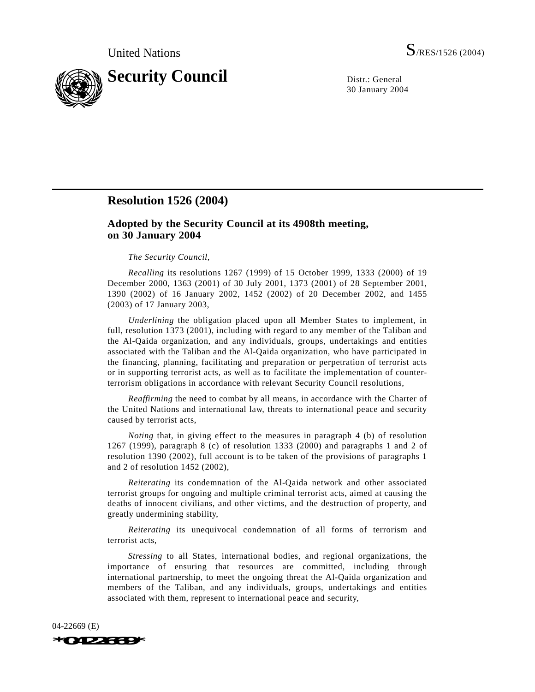

30 January 2004

## **Resolution 1526 (2004)**

## **Adopted by the Security Council at its 4908th meeting, on 30 January 2004**

## *The Security Council*,

*Recalling* its resolutions 1267 (1999) of 15 October 1999, 1333 (2000) of 19 December 2000, 1363 (2001) of 30 July 2001, 1373 (2001) of 28 September 2001, 1390 (2002) of 16 January 2002, 1452 (2002) of 20 December 2002, and 1455 (2003) of 17 January 2003,

*Underlining* the obligation placed upon all Member States to implement, in full, resolution 1373 (2001), including with regard to any member of the Taliban and the Al-Qaida organization, and any individuals, groups, undertakings and entities associated with the Taliban and the Al-Qaida organization, who have participated in the financing, planning, facilitating and preparation or perpetration of terrorist acts or in supporting terrorist acts, as well as to facilitate the implementation of counterterrorism obligations in accordance with relevant Security Council resolutions,

*Reaffirming* the need to combat by all means, in accordance with the Charter of the United Nations and international law, threats to international peace and security caused by terrorist acts,

*Noting* that, in giving effect to the measures in paragraph 4 (b) of resolution 1267 (1999), paragraph 8 (c) of resolution 1333 (2000) and paragraphs 1 and 2 of resolution 1390 (2002), full account is to be taken of the provisions of paragraphs 1 and 2 of resolution 1452 (2002),

*Reiterating* its condemnation of the Al-Qaida network and other associated terrorist groups for ongoing and multiple criminal terrorist acts, aimed at causing the deaths of innocent civilians, and other victims, and the destruction of property, and greatly undermining stability,

*Reiterating* its unequivocal condemnation of all forms of terrorism and terrorist acts,

*Stressing* to all States, international bodies, and regional organizations, the importance of ensuring that resources are committed, including through international partnership, to meet the ongoing threat the Al-Qaida organization and members of the Taliban, and any individuals, groups, undertakings and entities associated with them, represent to international peace and security,

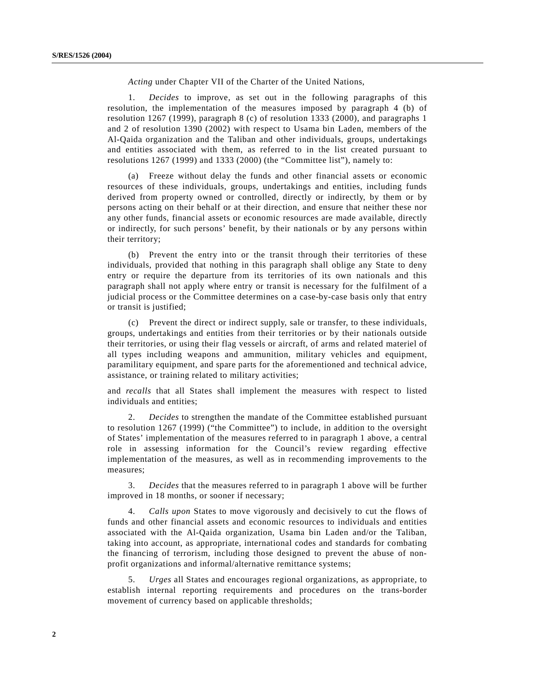*Acting* under Chapter VII of the Charter of the United Nations,

1. *Decides* to improve, as set out in the following paragraphs of this resolution, the implementation of the measures imposed by paragraph 4 (b) of resolution 1267 (1999), paragraph 8 (c) of resolution 1333 (2000), and paragraphs 1 and 2 of resolution 1390 (2002) with respect to Usama bin Laden, members of the Al-Qaida organization and the Taliban and other individuals, groups, undertakings and entities associated with them, as referred to in the list created pursuant to resolutions 1267 (1999) and 1333 (2000) (the "Committee list"), namely to:

(a) Freeze without delay the funds and other financial assets or economic resources of these individuals, groups, undertakings and entities, including funds derived from property owned or controlled, directly or indirectly, by them or by persons acting on their behalf or at their direction, and ensure that neither these nor any other funds, financial assets or economic resources are made available, directly or indirectly, for such persons' benefit, by their nationals or by any persons within their territory;

(b) Prevent the entry into or the transit through their territories of these individuals, provided that nothing in this paragraph shall oblige any State to deny entry or require the departure from its territories of its own nationals and this paragraph shall not apply where entry or transit is necessary for the fulfilment of a judicial process or the Committee determines on a case-by-case basis only that entry or transit is justified;

(c) Prevent the direct or indirect supply, sale or transfer, to these individuals, groups, undertakings and entities from their territories or by their nationals outside their territories, or using their flag vessels or aircraft, of arms and related materiel of all types including weapons and ammunition, military vehicles and equipment, paramilitary equipment, and spare parts for the aforementioned and technical advice, assistance, or training related to military activities;

and *recalls* that all States shall implement the measures with respect to listed individuals and entities;

2. *Decides* to strengthen the mandate of the Committee established pursuant to resolution 1267 (1999) ("the Committee") to include, in addition to the oversight of States' implementation of the measures referred to in paragraph 1 above, a central role in assessing information for the Council's review regarding effective implementation of the measures, as well as in recommending improvements to the measures;

3. *Decides* that the measures referred to in paragraph 1 above will be further improved in 18 months, or sooner if necessary;

4. *Calls upon* States to move vigorously and decisively to cut the flows of funds and other financial assets and economic resources to individuals and entities associated with the Al-Qaida organization, Usama bin Laden and/or the Taliban, taking into account, as appropriate, international codes and standards for combating the financing of terrorism, including those designed to prevent the abuse of nonprofit organizations and informal/alternative remittance systems;

5. *Urges* all States and encourages regional organizations, as appropriate, to establish internal reporting requirements and procedures on the trans-border movement of currency based on applicable thresholds;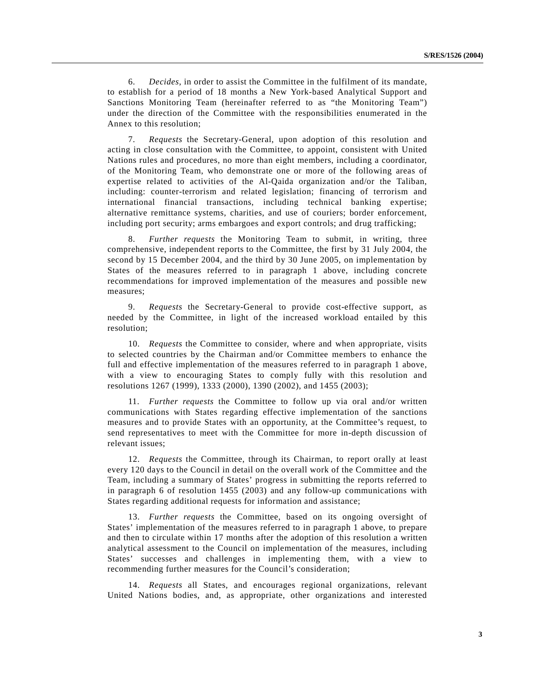6. *Decides*, in order to assist the Committee in the fulfilment of its mandate, to establish for a period of 18 months a New York-based Analytical Support and Sanctions Monitoring Team (hereinafter referred to as "the Monitoring Team") under the direction of the Committee with the responsibilities enumerated in the Annex to this resolution;

7. *Requests* the Secretary-General, upon adoption of this resolution and acting in close consultation with the Committee, to appoint, consistent with United Nations rules and procedures, no more than eight members, including a coordinator, of the Monitoring Team, who demonstrate one or more of the following areas of expertise related to activities of the Al-Qaida organization and/or the Taliban, including: counter-terrorism and related legislation; financing of terrorism and international financial transactions, including technical banking expertise; alternative remittance systems, charities, and use of couriers; border enforcement, including port security; arms embargoes and export controls; and drug trafficking;

8. *Further requests* the Monitoring Team to submit, in writing, three comprehensive, independent reports to the Committee, the first by 31 July 2004, the second by 15 December 2004, and the third by 30 June 2005, on implementation by States of the measures referred to in paragraph 1 above, including concrete recommendations for improved implementation of the measures and possible new measures;

9. *Requests* the Secretary-General to provide cost-effective support, as needed by the Committee, in light of the increased workload entailed by this resolution;

10. *Requests* the Committee to consider, where and when appropriate, visits to selected countries by the Chairman and/or Committee members to enhance the full and effective implementation of the measures referred to in paragraph 1 above, with a view to encouraging States to comply fully with this resolution and resolutions 1267 (1999), 1333 (2000), 1390 (2002), and 1455 (2003);

11. *Further requests* the Committee to follow up via oral and/or written communications with States regarding effective implementation of the sanctions measures and to provide States with an opportunity, at the Committee's request, to send representatives to meet with the Committee for more in-depth discussion of relevant issues;

12. *Requests* the Committee, through its Chairman, to report orally at least every 120 days to the Council in detail on the overall work of the Committee and the Team, including a summary of States' progress in submitting the reports referred to in paragraph 6 of resolution 1455 (2003) and any follow-up communications with States regarding additional requests for information and assistance;

13. *Further requests* the Committee, based on its ongoing oversight of States' implementation of the measures referred to in paragraph 1 above, to prepare and then to circulate within 17 months after the adoption of this resolution a written analytical assessment to the Council on implementation of the measures, including States' successes and challenges in implementing them, with a view to recommending further measures for the Council's consideration;

14. *Requests* all States, and encourages regional organizations, relevant United Nations bodies, and, as appropriate, other organizations and interested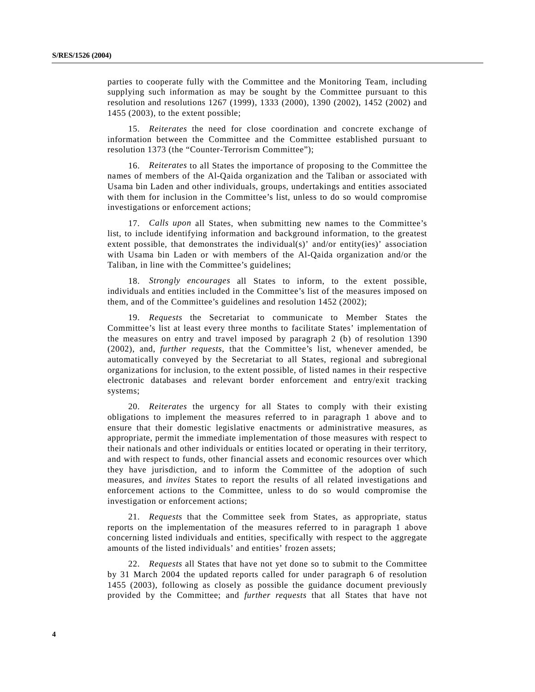parties to cooperate fully with the Committee and the Monitoring Team, including supplying such information as may be sought by the Committee pursuant to this resolution and resolutions 1267 (1999), 1333 (2000), 1390 (2002), 1452 (2002) and 1455 (2003), to the extent possible;

15. *Reiterates* the need for close coordination and concrete exchange of information between the Committee and the Committee established pursuant to resolution 1373 (the "Counter-Terrorism Committee");

16. *Reiterates* to all States the importance of proposing to the Committee the names of members of the Al-Qaida organization and the Taliban or associated with Usama bin Laden and other individuals, groups, undertakings and entities associated with them for inclusion in the Committee's list, unless to do so would compromise investigations or enforcement actions;

17. *Calls upon* all States, when submitting new names to the Committee's list, to include identifying information and background information, to the greatest extent possible, that demonstrates the individual(s)' and/or entity(ies)' association with Usama bin Laden or with members of the Al-Qaida organization and/or the Taliban, in line with the Committee's guidelines;

18. *Strongly encourages* all States to inform, to the extent possible, individuals and entities included in the Committee's list of the measures imposed on them, and of the Committee's guidelines and resolution 1452 (2002);

19. *Requests* the Secretariat to communicate to Member States the Committee's list at least every three months to facilitate States' implementation of the measures on entry and travel imposed by paragraph 2 (b) of resolution 1390 (2002), and, *further requests*, that the Committee's list, whenever amended, be automatically conveyed by the Secretariat to all States, regional and subregional organizations for inclusion, to the extent possible, of listed names in their respective electronic databases and relevant border enforcement and entry/exit tracking systems;

20. *Reiterates* the urgency for all States to comply with their existing obligations to implement the measures referred to in paragraph 1 above and to ensure that their domestic legislative enactments or administrative measures, as appropriate, permit the immediate implementation of those measures with respect to their nationals and other individuals or entities located or operating in their territory, and with respect to funds, other financial assets and economic resources over which they have jurisdiction, and to inform the Committee of the adoption of such measures, and *invites* States to report the results of all related investigations and enforcement actions to the Committee, unless to do so would compromise the investigation or enforcement actions;

21. *Requests* that the Committee seek from States, as appropriate, status reports on the implementation of the measures referred to in paragraph 1 above concerning listed individuals and entities, specifically with respect to the aggregate amounts of the listed individuals' and entities' frozen assets;

22. *Requests* all States that have not yet done so to submit to the Committee by 31 March 2004 the updated reports called for under paragraph 6 of resolution 1455 (2003), following as closely as possible the guidance document previously provided by the Committee; and *further requests* that all States that have not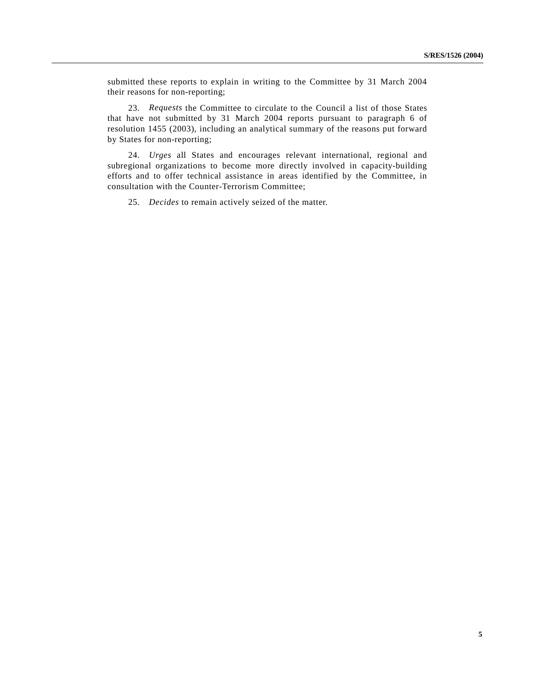submitted these reports to explain in writing to the Committee by 31 March 2004 their reasons for non-reporting;

23. *Requests* the Committee to circulate to the Council a list of those States that have not submitted by 31 March 2004 reports pursuant to paragraph 6 of resolution 1455 (2003), including an analytical summary of the reasons put forward by States for non-reporting;

24. *Urges* all States and encourages relevant international, regional and subregional organizations to become more directly involved in capacity-building efforts and to offer technical assistance in areas identified by the Committee, in consultation with the Counter-Terrorism Committee;

25. *Decides* to remain actively seized of the matter.